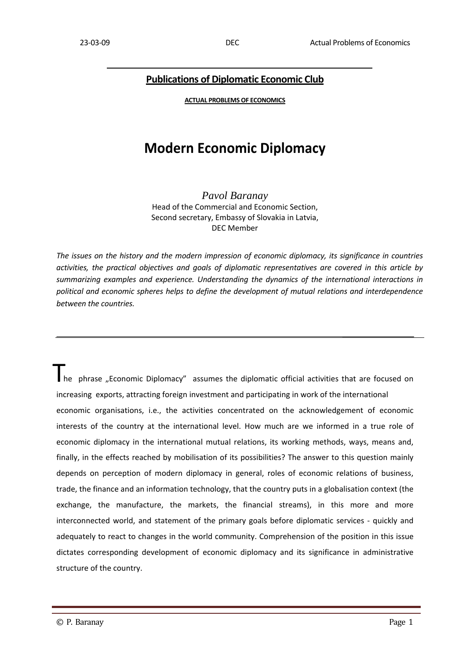## **Publications of Diplomatic Economic Club**

**ACTUAL PROBLEMS OF ECONOMICS**

# **Modern Economic Diplomacy**

*Pavol Baranay*  Head of the Commercial and Economic Section, Second secretary, Embassy of Slovakia in Latvia, DEC Member

*The issues on the history and the modern impression of economic diplomacy, its significance in countries activities, the practical objectives and goals of diplomatic representatives are covered in this article by summarizing examples and experience. Understanding the dynamics of the international interactions in political and economic spheres helps to define the development of mutual relations and interdependence between the countries.* 

 $\prod_{\text{he}}$  phrase "Economic Diplomacy" assumes the diplomatic official activities that are focused on increasing exports, attracting foreign investment and participating in work of the international economic organisations, i.e., the activities concentrated on the acknowledgement of economic interests of the country at the international level. How much are we informed in a true role of economic diplomacy in the international mutual relations, its working methods, ways, means and, finally, in the effects reached by mobilisation of its possibilities? The answer to this question mainly depends on perception of modern diplomacy in general, roles of economic relations of business, trade, the finance and an information technology, that the country puts in a globalisation context (the exchange, the manufacture, the markets, the financial streams), in this more and more interconnected world, and statement of the primary goals before diplomatic services ‐ quickly and adequately to react to changes in the world community. Comprehension of the position in this issue dictates corresponding development of economic diplomacy and its significance in administrative structure of the country.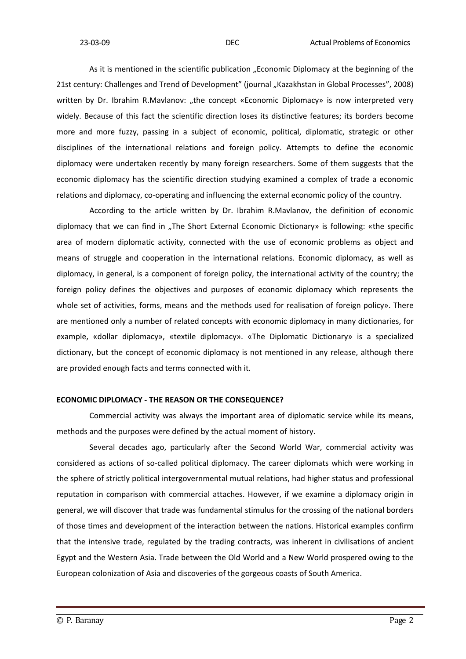As it is mentioned in the scientific publication "Economic Diplomacy at the beginning of the 21st century: Challenges and Trend of Development" (journal "Kazakhstan in Global Processes", 2008) written by Dr. Ibrahim R.Mavlanov: "the concept «Economic Diplomacy» is now interpreted very widely. Because of this fact the scientific direction loses its distinctive features; its borders become more and more fuzzy, passing in a subject of economic, political, diplomatic, strategic or other disciplines of the international relations and foreign policy. Attempts to define the economic diplomacy were undertaken recently by many foreign researchers. Some of them suggests that the economic diplomacy has the scientific direction studying examined a complex of trade a economic relations and diplomacy, co-operating and influencing the external economic policy of the country.

According to the article written by Dr. Ibrahim R.Mavlanov, the definition of economic diplomacy that we can find in "The Short External Economic Dictionary» is following: «the specific area of modern diplomatic activity, connected with the use of economic problems as object and means of struggle and cooperation in the international relations. Economic diplomacy, as well as diplomacy, in general, is a component of foreign policy, the international activity of the country; the foreign policy defines the objectives and purposes of economic diplomacy which represents the whole set of activities, forms, means and the methods used for realisation of foreign policy». There are mentioned only a number of related concepts with economic diplomacy in many dictionaries, for example, «dollar diplomacy», «textile diplomacy». «The Diplomatic Dictionary» is a specialized dictionary, but the concept of economic diplomacy is not mentioned in any release, although there are provided enough facts and terms connected with it.

#### **ECONOMIC DIPLOMACY ‐ THE REASON OR THE CONSEQUENCE?**

Commercial activity was always the important area of diplomatic service while its means, methods and the purposes were defined by the actual moment of history.

Several decades ago, particularly after the Second World War, commercial activity was considered as actions of so‐called political diplomacy. The career diplomats which were working in the sphere of strictly political intergovernmental mutual relations, had higher status and professional reputation in comparison with commercial attaches. However, if we examine a diplomacy origin in general, we will discover that trade was fundamental stimulus for the crossing of the national borders of those times and development of the interaction between the nations. Historical examples confirm that the intensive trade, regulated by the trading contracts, was inherent in civilisations of ancient Egypt and the Western Asia. Trade between the Old World and a New World prospered owing to the European colonization of Asia and discoveries of the gorgeous coasts of South America.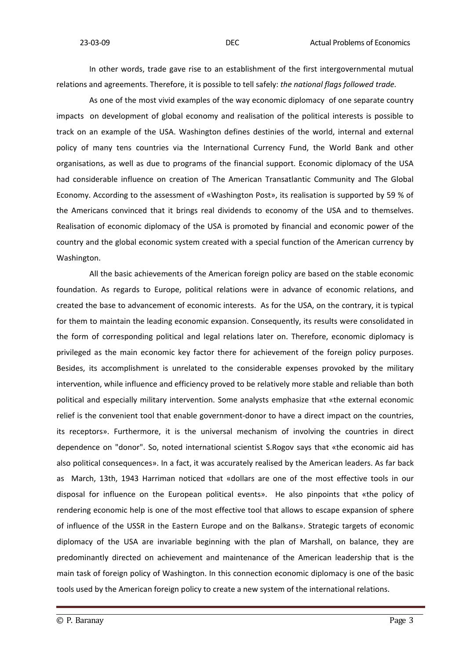In other words, trade gave rise to an establishment of the first intergovernmental mutual relations and agreements. Therefore, it is possible to tell safely: *the national flags followed trade.*

As one of the most vivid examples of the way economic diplomacy of one separate country impacts on development of global economy and realisation of the political interests is possible to track on an example of the USA. Washington defines destinies of the world, internal and external policy of many tens countries via the International Currency Fund, the World Bank and other organisations, as well as due to programs of the financial support. Economic diplomacy of the USA had considerable influence on creation of The American Transatlantic Community and The Global Economy. According to the assessment of «Washington Post», its realisation is supported by 59 % of the Americans convinced that it brings real dividends to economy of the USA and to themselves. Realisation of economic diplomacy of the USA is promoted by financial and economic power of the country and the global economic system created with a special function of the American currency by Washington.

All the basic achievements of the American foreign policy are based on the stable economic foundation. As regards to Europe, political relations were in advance of economic relations, and created the base to advancement of economic interests. As for the USA, on the contrary, it is typical for them to maintain the leading economic expansion. Consequently, its results were consolidated in the form of corresponding political and legal relations later on. Therefore, economic diplomacy is privileged as the main economic key factor there for achievement of the foreign policy purposes. Besides, its accomplishment is unrelated to the considerable expenses provoked by the military intervention, while influence and efficiency proved to be relatively more stable and reliable than both political and especially military intervention. Some analysts emphasize that «the external economic relief is the convenient tool that enable government‐donor to have a direct impact on the countries, its receptors». Furthermore, it is the universal mechanism of involving the countries in direct dependence on "donor". So, noted international scientist S.Rogov says that «the economic aid has also political consequences». In a fact, it was accurately realised by the American leaders. As far back as March, 13th, 1943 Harriman noticed that «dollars are one of the most effective tools in our disposal for influence on the European political events». He also pinpoints that «the policy of rendering economic help is one of the most effective tool that allows to escape expansion of sphere of influence of the USSR in the Eastern Europe and on the Balkans». Strategic targets of economic diplomacy of the USA are invariable beginning with the plan of Marshall, on balance, they are predominantly directed on achievement and maintenance of the American leadership that is the main task of foreign policy of Washington. In this connection economic diplomacy is one of the basic tools used by the American foreign policy to create a new system of the international relations.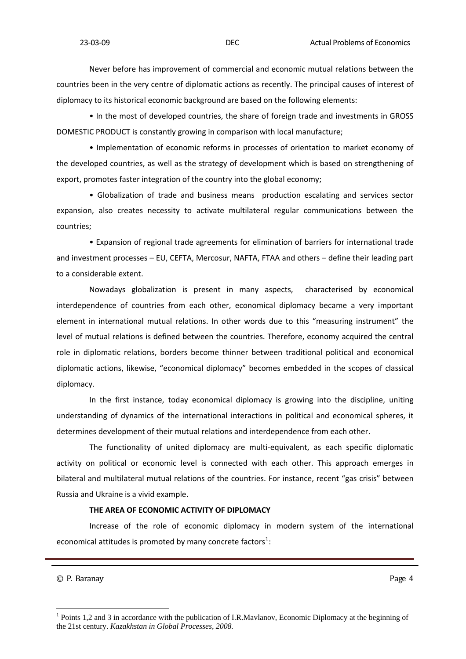Never before has improvement of commercial and economic mutual relations between the countries been in the very centre of diplomatic actions as recently. The principal causes of interest of diplomacy to its historical economic background are based on the following elements:

• In the most of developed countries, the share of foreign trade and investments in GROSS DOMESTIC PRODUCT is constantly growing in comparison with local manufacture;

• Implementation of economic reforms in processes of orientation to market economy of the developed countries, as well as the strategy of development which is based on strengthening of export, promotes faster integration of the country into the global economy;

• Globalization of trade and business means production escalating and services sector expansion, also creates necessity to activate multilateral regular communications between the countries;

• Expansion of regional trade agreements for elimination of barriers for international trade and investment processes – EU, CEFTA, Mercosur, NAFTA, FTAA and others – define their leading part to a considerable extent.

Nowadays globalization is present in many aspects, characterised by economical interdependence of countries from each other, economical diplomacy became a very important element in international mutual relations. In other words due to this "measuring instrument" the level of mutual relations is defined between the countries. Therefore, economy acquired the central role in diplomatic relations, borders become thinner between traditional political and economical diplomatic actions, likewise, "economical diplomacy" becomes embedded in the scopes of classical diplomacy.

In the first instance, today economical diplomacy is growing into the discipline, uniting understanding of dynamics of the international interactions in political and economical spheres, it determines development of their mutual relations and interdependence from each other.

The functionality of united diplomacy are multi-equivalent, as each specific diplomatic activity on political or economic level is connected with each other. This approach emerges in bilateral and multilateral mutual relations of the countries. For instance, recent "gas crisis" between Russia and Ukraine is a vivid example.

### **THE AREA OF ECONOMIC ACTIVITY OF DIPLOMACY**

Increase of the role of economic diplomacy in modern system of the international economical attitudes is promoted by many concrete factors<sup>[1](#page-3-0)</sup>:

© P. Baranay  $\Box$ 

<span id="page-3-0"></span><sup>&</sup>lt;sup>1</sup> Points 1,2 and 3 in accordance with the publication of I.R.Mavlanov, Economic Diplomacy at the beginning of the 21st century. *Kazakhstan in Global Processes, 2008.*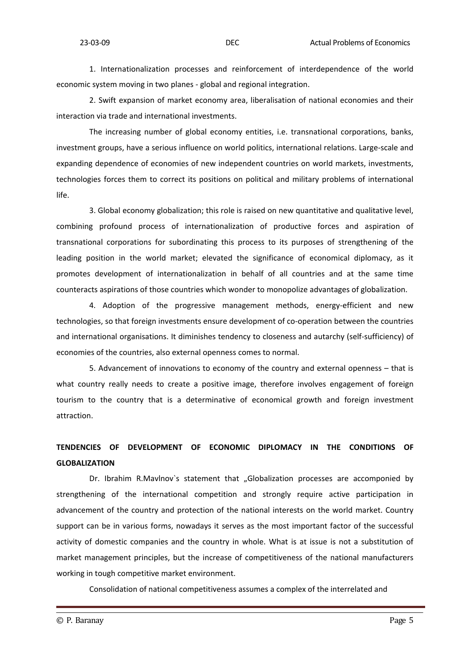1. Internationalization processes and reinforcement of interdependence of the world economic system moving in two planes ‐ global and regional integration.

2. Swift expansion of market economy area, liberalisation of national economies and their interaction via trade and international investments.

The increasing number of global economy entities, i.e. transnational corporations, banks, investment groups, have a serious influence on world politics, international relations. Large‐scale and expanding dependence of economies of new independent countries on world markets, investments, technologies forces them to correct its positions on political and military problems of international life.

3. Global economy globalization; this role is raised on new quantitative and qualitative level, combining profound process of internationalization of productive forces and aspiration of transnational corporations for subordinating this process to its purposes of strengthening of the leading position in the world market; elevated the significance of economical diplomacy, as it promotes development of internationalization in behalf of all countries and at the same time counteracts aspirations of those countries which wonder to monopolize advantages of globalization.

4. Adoption of the progressive management methods, energy-efficient and new technologies, so that foreign investments ensure development of co-operation between the countries and international organisations. It diminishes tendency to closeness and autarchy (self-sufficiency) of economies of the countries, also external openness comes to normal.

5. Advancement of innovations to economy of the country and external openness – that is what country really needs to create a positive image, therefore involves engagement of foreign tourism to the country that is a determinative of economical growth and foreign investment attraction.

# **TENDENCIES OF DEVELOPMENT OF ECONOMIC DIPLOMACY IN THE CONDITIONS OF GLOBALIZATION**

Dr. Ibrahim R.Mavlnov's statement that "Globalization processes are accomponied by strengthening of the international competition and strongly require active participation in advancement of the country and protection of the national interests on the world market. Country support can be in various forms, nowadays it serves as the most important factor of the successful activity of domestic companies and the country in whole. What is at issue is not a substitution of market management principles, but the increase of competitiveness of the national manufacturers working in tough competitive market environment.

Consolidation of national competitiveness assumes a complex of the interrelated and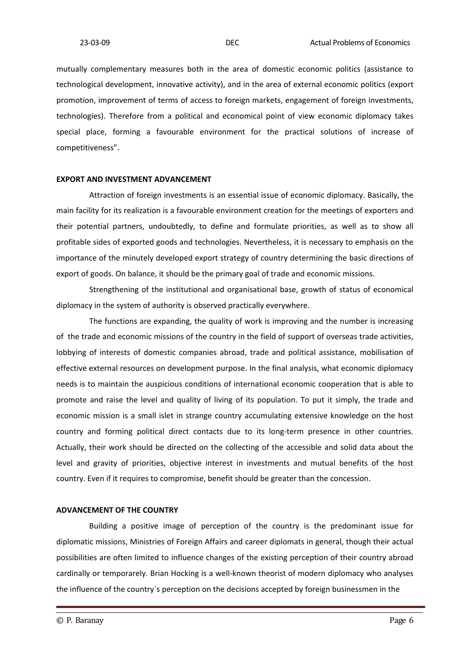mutually complementary measures both in the area of domestic economic politics (assistance to technological development, innovative activity), and in the area of external economic politics (export promotion, improvement of terms of access to foreign markets, engagement of foreign investments, technologies). Therefore from a political and economical point of view economic diplomacy takes special place, forming a favourable environment for the practical solutions of increase of competitiveness".

#### **EXPORT AND INVESTMENT ADVANCEMENT**

Attraction of foreign investments is an essential issue of economic diplomacy. Basically, the main facility for its realization is a favourable environment creation for the meetings of exporters and their potential partners, undoubtedly, to define and formulate priorities, as well as to show all profitable sides of exported goods and technologies. Nevertheless, it is necessary to emphasis on the importance of the minutely developed export strategy of country determining the basic directions of export of goods. On balance, it should be the primary goal of trade and economic missions.

Strengthening of the institutional and organisational base, growth of status of economical diplomacy in the system of authority is observed practically everywhere.

The functions are expanding, the quality of work is improving and the number is increasing of the trade and economic missions of the country in the field of support of overseas trade activities, lobbying of interests of domestic companies abroad, trade and political assistance, mobilisation of effective external resources on development purpose. In the final analysis, what economic diplomacy needs is to maintain the auspicious conditions of international economic cooperation that is able to promote and raise the level and quality of living of its population. To put it simply, the trade and economic mission is a small islet in strange country accumulating extensive knowledge on the host country and forming political direct contacts due to its long-term presence in other countries. Actually, their work should be directed on the collecting of the accessible and solid data about the level and gravity of priorities, objective interest in investments and mutual benefits of the host country. Even if it requires to compromise, benefit should be greater than the concession.

### **ADVANCEMENT OF THE COUNTRY**

Building a positive image of perception of the country is the predominant issue for diplomatic missions, Ministries of Foreign Affairs and career diplomats in general, though their actual possibilities are often limited to influence changes of the existing perception of their country abroad cardinally or temporarely. Brian Hocking is a well‐known theorist of modern diplomacy who analyses the influence of the country`s perception on the decisions accepted by foreign businessmen in the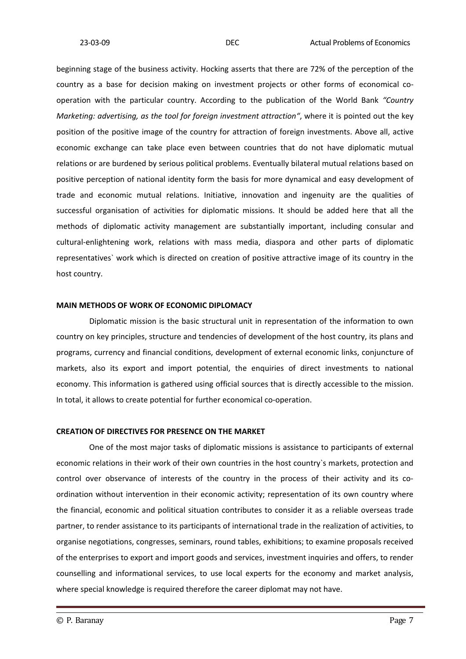beginning stage of the business activity. Hocking asserts that there are 72% of the perception of the country as a base for decision making on investment projects or other forms of economical co‐ operation with the particular country. According to the publication of the World Bank *"Country Marketing: advertising, as the tool for foreign investment attraction"*, where it is pointed out the key position of the positive image of the country for attraction of foreign investments. Above all, active economic exchange can take place even between countries that do not have diplomatic mutual relations or are burdened by serious political problems. Eventually bilateral mutual relations based on positive perception of national identity form the basis for more dynamical and easy development of trade and economic mutual relations. Initiative, innovation and ingenuity are the qualities of successful organisation of activities for diplomatic missions. It should be added here that all the methods of diplomatic activity management are substantially important, including consular and cultural‐enlightening work, relations with mass media, diaspora and other parts of diplomatic representatives` work which is directed on creation of positive attractive image of its country in the host country.

#### **MAIN METHODS OF WORK OF ECONOMIC DIPLOMACY**

Diplomatic mission is the basic structural unit in representation of the information to own country on key principles, structure and tendencies of development of the host country, its plans and programs, currency and financial conditions, development of external economic links, conjuncture of markets, also its export and import potential, the enquiries of direct investments to national economy. This information is gathered using official sources that is directly accessible to the mission. In total, it allows to create potential for further economical co-operation.

#### **CREATION OF DIRECTIVES FOR PRESENCE ON THE MARKET**

One of the most major tasks of diplomatic missions is assistance to participants of external economic relations in their work of their own countries in the host country`s markets, protection and control over observance of interests of the country in the process of their activity and its coordination without intervention in their economic activity; representation of its own country where the financial, economic and political situation contributes to consider it as a reliable overseas trade partner, to render assistance to its participants of international trade in the realization of activities, to organise negotiations, congresses, seminars, round tables, exhibitions; to examine proposals received of the enterprises to export and import goods and services, investment inquiries and offers, to render counselling and informational services, to use local experts for the economy and market analysis, where special knowledge is required therefore the career diplomat may not have.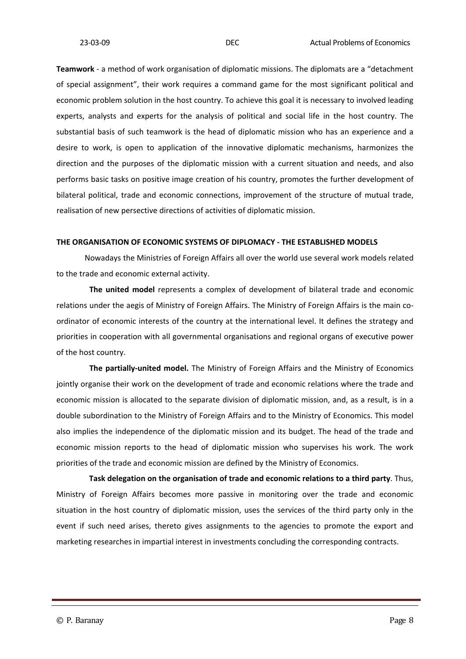**Teamwork** ‐ a method of work organisation of diplomatic missions. The diplomats are a "detachment of special assignment", their work requires a command game for the most significant political and economic problem solution in the host country. To achieve this goal it is necessary to involved leading experts, analysts and experts for the analysis of political and social life in the host country. The substantial basis of such teamwork is the head of diplomatic mission who has an experience and a desire to work, is open to application of the innovative diplomatic mechanisms, harmonizes the direction and the purposes of the diplomatic mission with a current situation and needs, and also performs basic tasks on positive image creation of his country, promotes the further development of bilateral political, trade and economic connections, improvement of the structure of mutual trade, realisation of new persective directions of activities of diplomatic mission.

#### **THE ORGANISATION OF ECONOMIC SYSTEMS OF DIPLOMACY ‐ THE ESTABLISHED MODELS**

Nowadays the Ministries of Foreign Affairs all over the world use several work models related to the trade and economic external activity.

**The united model** represents a complex of development of bilateral trade and economic relations under the aegis of Ministry of Foreign Affairs. The Ministry of Foreign Affairs is the main co‐ ordinator of economic interests of the country at the international level. It defines the strategy and priorities in cooperation with all governmental organisations and regional organs of executive power of the host country.

**The partially‐united model.** The Ministry of Foreign Affairs and the Ministry of Economics jointly organise their work on the development of trade and economic relations where the trade and economic mission is allocated to the separate division of diplomatic mission, and, as a result, is in a double subordination to the Ministry of Foreign Affairs and to the Ministry of Economics. This model also implies the independence of the diplomatic mission and its budget. The head of the trade and economic mission reports to the head of diplomatic mission who supervises his work. The work priorities of the trade and economic mission are defined by the Ministry of Economics.

**Task delegation on the organisation of trade and economic relations to a third party**. Thus, Ministry of Foreign Affairs becomes more passive in monitoring over the trade and economic situation in the host country of diplomatic mission, uses the services of the third party only in the event if such need arises, thereto gives assignments to the agencies to promote the export and marketing researches in impartial interest in investments concluding the corresponding contracts.